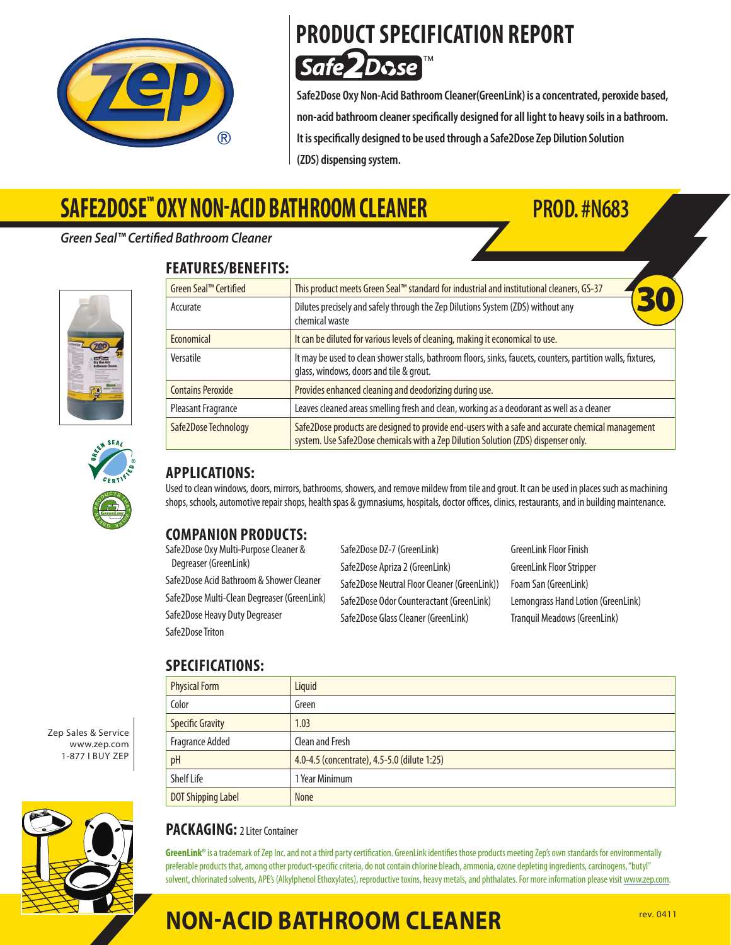

### **PRODUCT SPECIFICATION REPORT Safe 2Dose**

**Safe2Dose Oxy Non-Acid BathroomCleaner(GreenLink) isaconcentrated, peroxide based, non-acid bathroomcleanerspecifically designed forall lightto heavysoilsin a bathroom. Itisspecifically designed to be used through aSafe2DoseZep Dilution Solution (ZDS) dispensing system.**

# **SAFE2DOSE™ Oxy NON-ACID BATHROOM CLEANER PROD. #N683**

#### *Green Seal™ Certified Bathroom Cleaner*







#### **APPLICATIONS:**

Used to clean windows, doors, mirrors, bathrooms, showers, and remove mildew from tile and grout. It can be used in places such as machining shops, schools, automotive repair shops, health spas & gymnasiums, hospitals, doctor offices, clinics, restaurants, and in building maintenance.

### **COMPANION PRODUCTS:**

Safe2Dose Oxy Multi-Purpose Cleaner & Degreaser (GreenLink) Safe2Dose Acid Bathroom & Shower Cleaner Safe2Dose Multi-Clean Degreaser (GreenLink) Safe2Dose Heavy Duty Degreaser Safe2Dose Triton

Safe2Dose DZ-7 (GreenLink) Safe2Dose Apriza 2 (GreenLink) Safe2Dose Neutral Floor Cleaner (GreenLink)) Safe2Dose Odor Counteractant (GreenLink) Safe2Dose Glass Cleaner (GreenLink)

GreenLink Floor Finish GreenLink Floor Stripper Foam San (GreenLink) Lemongrass Hand Lotion (GreenLink) Tranquil Meadows (GreenLink)

#### **SPECIFICATIONS:**

| JI LAII IANI IVIIJ.       |                                              |
|---------------------------|----------------------------------------------|
| <b>Physical Form</b>      | Liquid                                       |
| Color                     | Green                                        |
| <b>Specific Gravity</b>   | 1.03                                         |
| Fragrance Added           | Clean and Fresh                              |
| pH                        | 4.0-4.5 (concentrate), 4.5-5.0 (dilute 1:25) |
| Shelf Life                | 1 Year Minimum                               |
| <b>DOT Shipping Label</b> | <b>None</b>                                  |





#### **PACKAGING:** 2 Liter Container

GreenLink® is a trademark of Zep Inc. and not a third party certification. GreenLink identifies those products meeting Zep's own standards for environmentally preferable products that, among other product-specific criteria, do not contain chlorine bleach, ammonia, ozone depleting ingredients, carcinogens, "butyl" solvent, chlorinated solvents, APE's (Alkylphenol Ethoxylates), reproductive toxins, heavy metals, and phthalates. For more information please visit www.zep.com.

### **NON-ACID BATHROOM CLEANER Rev. 0411**